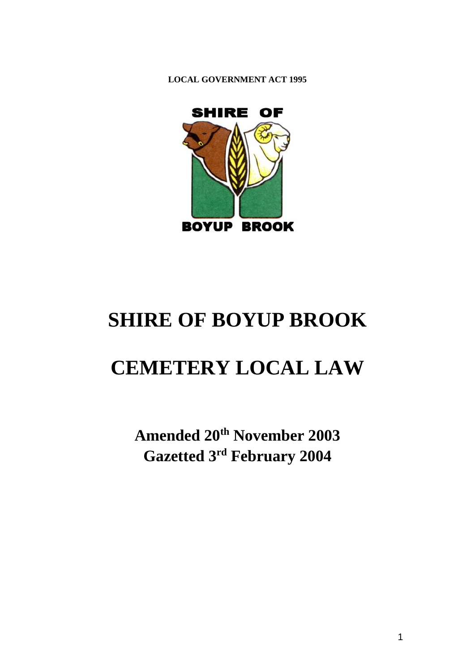



# **SHIRE OF BOYUP BROOK**

# **CEMETERY LOCAL LAW**

**Amended 20th November 2003 Gazetted 3rd February 2004**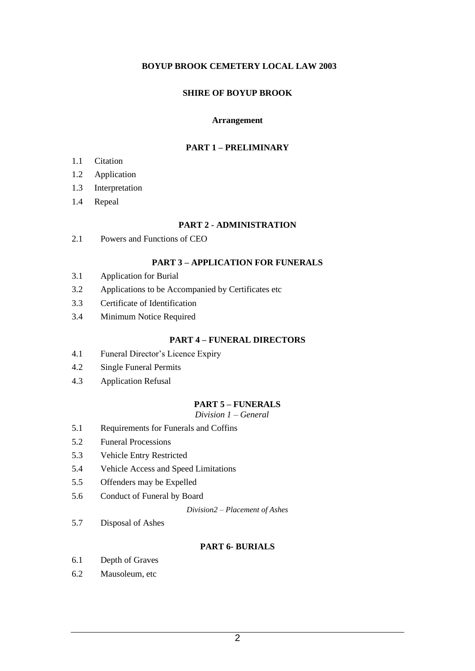#### **BOYUP BROOK CEMETERY LOCAL LAW 2003**

#### **SHIRE OF BOYUP BROOK**

#### **Arrangement**

#### **PART 1 – PRELIMINARY**

- 1.1 Citation
- 1.2 Application
- 1.3 Interpretation
- 1.4 Repeal

#### **PART 2 - ADMINISTRATION**

2.1 Powers and Functions of CEO

#### **PART 3 – APPLICATION FOR FUNERALS**

- 3.1 Application for Burial
- 3.2 Applications to be Accompanied by Certificates etc
- 3.3 Certificate of Identification
- 3.4 Minimum Notice Required

#### **PART 4 – FUNERAL DIRECTORS**

- 4.1 Funeral Director's Licence Expiry
- 4.2 Single Funeral Permits
- 4.3 Application Refusal

#### **PART 5 – FUNERALS**

*Division 1 – General*

- 5.1 Requirements for Funerals and Coffins
- 5.2 Funeral Processions
- 5.3 Vehicle Entry Restricted
- 5.4 Vehicle Access and Speed Limitations
- 5.5 Offenders may be Expelled
- 5.6 Conduct of Funeral by Board

*Division2 – Placement of Ashes*

5.7 Disposal of Ashes

#### **PART 6- BURIALS**

- 6.1 Depth of Graves
- 6.2 Mausoleum, etc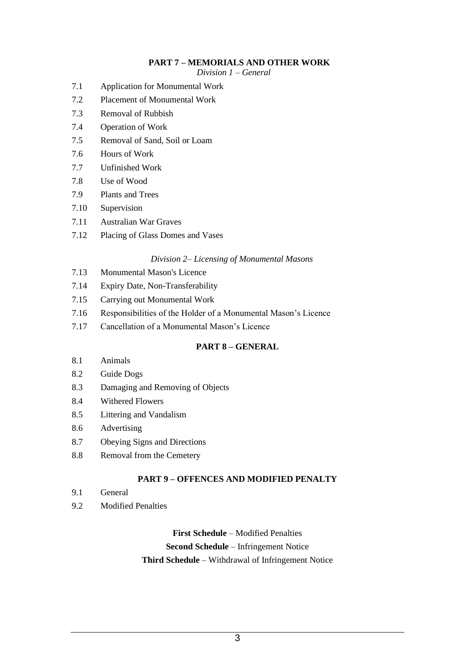#### **PART 7 – MEMORIALS AND OTHER WORK**

*Division 1 – General*

- 7.1 Application for Monumental Work
- 7.2 Placement of Monumental Work
- 7.3 Removal of Rubbish
- 7.4 Operation of Work
- 7.5 Removal of Sand, Soil or Loam
- 7.6 Hours of Work
- 7.7 Unfinished Work
- 7.8 Use of Wood
- 7.9 Plants and Trees
- 7.10 Supervision
- 7.11 Australian War Graves
- 7.12 Placing of Glass Domes and Vases

#### *Division 2– Licensing of Monumental Masons*

- 7.13 Monumental Mason's Licence
- 7.14 Expiry Date, Non-Transferability
- 7.15 Carrying out Monumental Work
- 7.16 Responsibilities of the Holder of a Monumental Mason's Licence
- 7.17 Cancellation of a Monumental Mason's Licence

#### **PART 8 – GENERAL**

- 8.1 Animals
- 8.2 Guide Dogs
- 8.3 Damaging and Removing of Objects
- 8.4 Withered Flowers
- 8.5 Littering and Vandalism
- 8.6 Advertising
- 8.7 Obeying Signs and Directions
- 8.8 Removal from the Cemetery

#### **PART 9 – OFFENCES AND MODIFIED PENALTY**

- 9.1 General
- 9.2 Modified Penalties

# **First Schedule** – Modified Penalties

#### **Second Schedule** – Infringement Notice **Third Schedule** – Withdrawal of Infringement Notice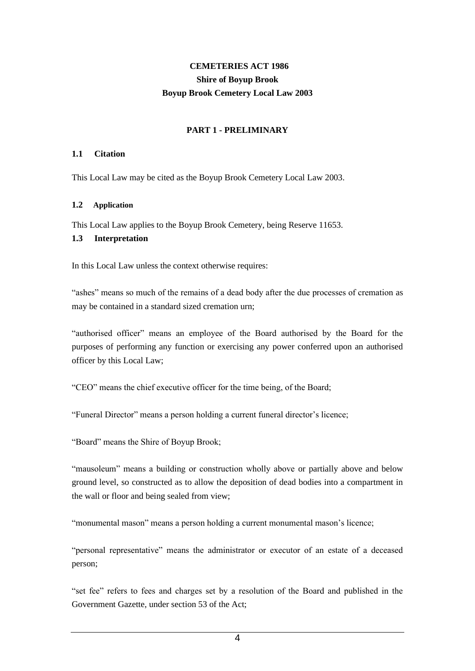# **CEMETERIES ACT 1986 Shire of Boyup Brook Boyup Brook Cemetery Local Law 2003**

#### **PART 1 - PRELIMINARY**

#### **1.1 Citation**

This Local Law may be cited as the Boyup Brook Cemetery Local Law 2003.

#### **1.2 Application**

This Local Law applies to the Boyup Brook Cemetery, being Reserve 11653.

#### **1.3 Interpretation**

In this Local Law unless the context otherwise requires:

"ashes" means so much of the remains of a dead body after the due processes of cremation as may be contained in a standard sized cremation urn;

"authorised officer" means an employee of the Board authorised by the Board for the purposes of performing any function or exercising any power conferred upon an authorised officer by this Local Law;

"CEO" means the chief executive officer for the time being, of the Board;

"Funeral Director" means a person holding a current funeral director's licence;

"Board" means the Shire of Boyup Brook;

"mausoleum" means a building or construction wholly above or partially above and below ground level, so constructed as to allow the deposition of dead bodies into a compartment in the wall or floor and being sealed from view;

"monumental mason" means a person holding a current monumental mason's licence;

"personal representative" means the administrator or executor of an estate of a deceased person;

"set fee" refers to fees and charges set by a resolution of the Board and published in the Government Gazette, under section 53 of the Act;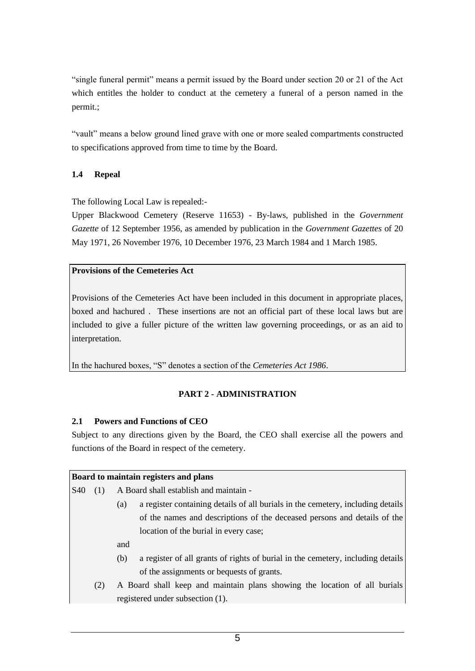"single funeral permit" means a permit issued by the Board under section 20 or 21 of the Act which entitles the holder to conduct at the cemetery a funeral of a person named in the permit.;

"vault" means a below ground lined grave with one or more sealed compartments constructed to specifications approved from time to time by the Board.

#### **1.4 Repeal**

The following Local Law is repealed:-

Upper Blackwood Cemetery (Reserve 11653) - By-laws, published in the *Government Gazette* of 12 September 1956, as amended by publication in the *Government Gazettes* of 20 May 1971, 26 November 1976, 10 December 1976, 23 March 1984 and 1 March 1985.

#### **Provisions of the Cemeteries Act**

Provisions of the Cemeteries Act have been included in this document in appropriate places, boxed and hachured . These insertions are not an official part of these local laws but are included to give a fuller picture of the written law governing proceedings, or as an aid to interpretation.

In the hachured boxes, "S" denotes a section of the *Cemeteries Act 1986*.

#### **PART 2 - ADMINISTRATION**

#### **2.1 Powers and Functions of CEO**

Subject to any directions given by the Board, the CEO shall exercise all the powers and functions of the Board in respect of the cemetery.

#### **Board to maintain registers and plans**

S40 (1) A Board shall establish and maintain -

- (a) a register containing details of all burials in the cemetery, including details of the names and descriptions of the deceased persons and details of the location of the burial in every case;
- and
- (b) a register of all grants of rights of burial in the cemetery, including details of the assignments or bequests of grants.
- (2) A Board shall keep and maintain plans showing the location of all burials registered under subsection (1).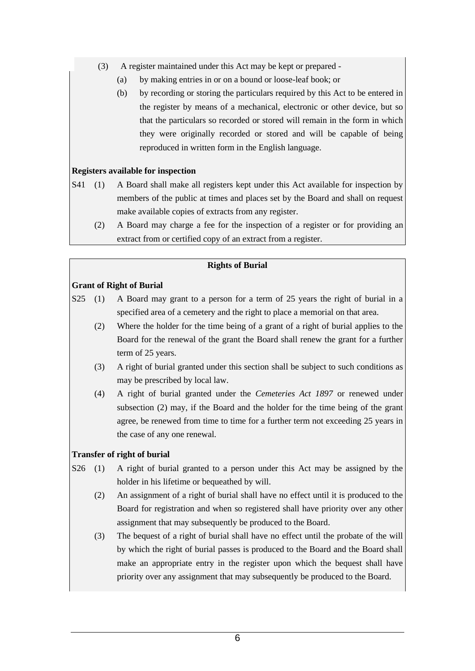- (3) A register maintained under this Act may be kept or prepared
	- (a) by making entries in or on a bound or loose-leaf book; or
	- (b) by recording or storing the particulars required by this Act to be entered in the register by means of a mechanical, electronic or other device, but so that the particulars so recorded or stored will remain in the form in which they were originally recorded or stored and will be capable of being reproduced in written form in the English language.

#### **Registers available for inspection**

- S41 (1) A Board shall make all registers kept under this Act available for inspection by members of the public at times and places set by the Board and shall on request make available copies of extracts from any register.
	- (2) A Board may charge a fee for the inspection of a register or for providing an extract from or certified copy of an extract from a register.

#### **Rights of Burial**

#### **Grant of Right of Burial**

- S25 (1) A Board may grant to a person for a term of 25 years the right of burial in a specified area of a cemetery and the right to place a memorial on that area.
	- (2) Where the holder for the time being of a grant of a right of burial applies to the Board for the renewal of the grant the Board shall renew the grant for a further term of 25 years.
	- (3) A right of burial granted under this section shall be subject to such conditions as may be prescribed by local law.
	- (4) A right of burial granted under the *Cemeteries Act 1897* or renewed under subsection (2) may, if the Board and the holder for the time being of the grant agree, be renewed from time to time for a further term not exceeding 25 years in the case of any one renewal.

#### **Transfer of right of burial**

- S26 (1) A right of burial granted to a person under this Act may be assigned by the holder in his lifetime or bequeathed by will.
	- (2) An assignment of a right of burial shall have no effect until it is produced to the Board for registration and when so registered shall have priority over any other assignment that may subsequently be produced to the Board.
	- (3) The bequest of a right of burial shall have no effect until the probate of the will by which the right of burial passes is produced to the Board and the Board shall make an appropriate entry in the register upon which the bequest shall have priority over any assignment that may subsequently be produced to the Board.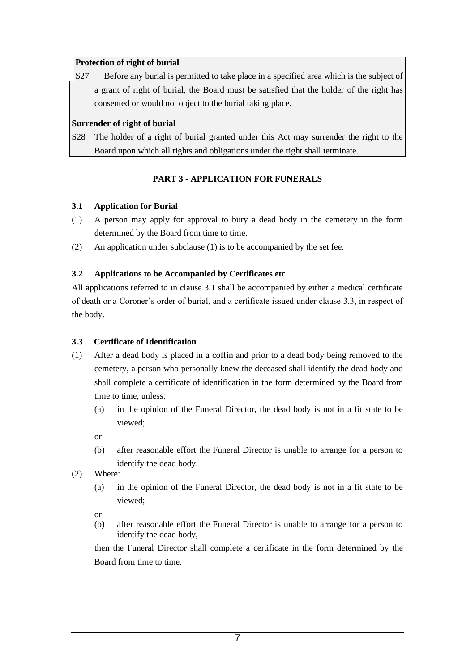#### **Protection of right of burial**

S27 Before any burial is permitted to take place in a specified area which is the subject of a grant of right of burial, the Board must be satisfied that the holder of the right has consented or would not object to the burial taking place.

#### **Surrender of right of burial**

S28 The holder of a right of burial granted under this Act may surrender the right to the Board upon which all rights and obligations under the right shall terminate.

#### **PART 3 - APPLICATION FOR FUNERALS**

#### **3.1 Application for Burial**

- (1) A person may apply for approval to bury a dead body in the cemetery in the form determined by the Board from time to time.
- (2) An application under subclause (1) is to be accompanied by the set fee.

#### **3.2 Applications to be Accompanied by Certificates etc**

All applications referred to in clause 3.1 shall be accompanied by either a medical certificate of death or a Coroner's order of burial, and a certificate issued under clause 3.3, in respect of the body.

#### **3.3 Certificate of Identification**

- (1) After a dead body is placed in a coffin and prior to a dead body being removed to the cemetery, a person who personally knew the deceased shall identify the dead body and shall complete a certificate of identification in the form determined by the Board from time to time, unless:
	- (a) in the opinion of the Funeral Director, the dead body is not in a fit state to be viewed;

or

- (b) after reasonable effort the Funeral Director is unable to arrange for a person to identify the dead body.
- (2) Where:
	- (a) in the opinion of the Funeral Director, the dead body is not in a fit state to be viewed;

or

(b) after reasonable effort the Funeral Director is unable to arrange for a person to identify the dead body,

then the Funeral Director shall complete a certificate in the form determined by the Board from time to time.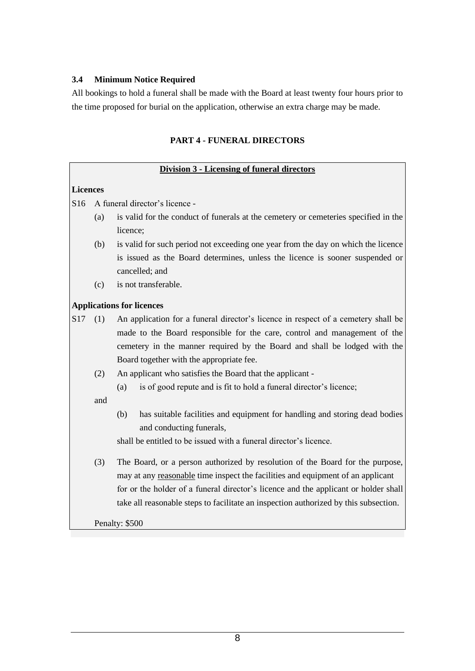#### **3.4 Minimum Notice Required**

All bookings to hold a funeral shall be made with the Board at least twenty four hours prior to the time proposed for burial on the application, otherwise an extra charge may be made.

#### **PART 4 - FUNERAL DIRECTORS**

#### **Division 3 - Licensing of funeral directors**

#### **Licences**

S16 A funeral director's licence -

- (a) is valid for the conduct of funerals at the cemetery or cemeteries specified in the licence;
- (b) is valid for such period not exceeding one year from the day on which the licence is issued as the Board determines, unless the licence is sooner suspended or cancelled; and
- (c) is not transferable.

#### **Applications for licences**

S17 (1) An application for a funeral director's licence in respect of a cemetery shall be made to the Board responsible for the care, control and management of the cemetery in the manner required by the Board and shall be lodged with the Board together with the appropriate fee.

- (2) An applicant who satisfies the Board that the applicant
	- (a) is of good repute and is fit to hold a funeral director's licence;

and

(b) has suitable facilities and equipment for handling and storing dead bodies and conducting funerals,

shall be entitled to be issued with a funeral director's licence.

(3) The Board, or a person authorized by resolution of the Board for the purpose, may at any reasonable time inspect the facilities and equipment of an applicant for or the holder of a funeral director's licence and the applicant or holder shall take all reasonable steps to facilitate an inspection authorized by this subsection.

Penalty: \$500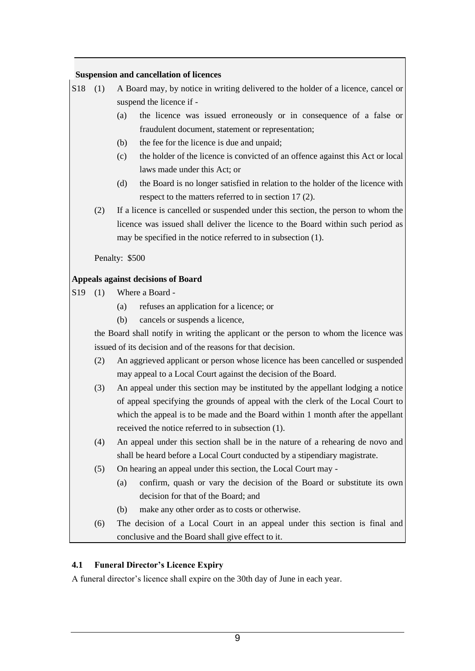#### **Suspension and cancellation of licences**

|  | [S18 (1) A Board may, by notice in writing delivered to the holder of a licence, cancel or |
|--|--------------------------------------------------------------------------------------------|
|  | suspend the licence if -                                                                   |

- (a) the licence was issued erroneously or in consequence of a false or fraudulent document, statement or representation;
- (b) the fee for the licence is due and unpaid;
- (c) the holder of the licence is convicted of an offence against this Act or local laws made under this Act; or
- (d) the Board is no longer satisfied in relation to the holder of the licence with respect to the matters referred to in section 17 (2).
- (2) If a licence is cancelled or suspended under this section, the person to whom the licence was issued shall deliver the licence to the Board within such period as may be specified in the notice referred to in subsection (1).

Penalty: \$500

#### **Appeals against decisions of Board**

- S<sub>19</sub> (1) Where a Board -
	- (a) refuses an application for a licence; or
	- (b) cancels or suspends a licence,

the Board shall notify in writing the applicant or the person to whom the licence was issued of its decision and of the reasons for that decision.

- (2) An aggrieved applicant or person whose licence has been cancelled or suspended may appeal to a Local Court against the decision of the Board.
- (3) An appeal under this section may be instituted by the appellant lodging a notice of appeal specifying the grounds of appeal with the clerk of the Local Court to which the appeal is to be made and the Board within 1 month after the appellant received the notice referred to in subsection (1).
- (4) An appeal under this section shall be in the nature of a rehearing de novo and shall be heard before a Local Court conducted by a stipendiary magistrate.
- (5) On hearing an appeal under this section, the Local Court may
	- (a) confirm, quash or vary the decision of the Board or substitute its own decision for that of the Board; and
	- (b) make any other order as to costs or otherwise.
- (6) The decision of a Local Court in an appeal under this section is final and conclusive and the Board shall give effect to it.

#### **4.1 Funeral Director's Licence Expiry**

A funeral director's licence shall expire on the 30th day of June in each year.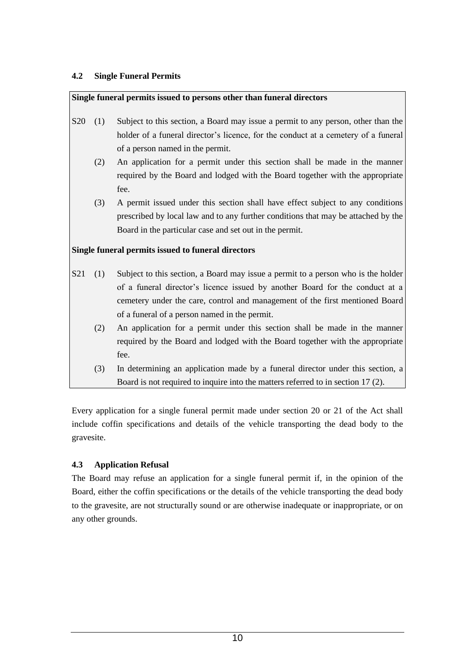#### **4.2 Single Funeral Permits**

#### **Single funeral permits issued to persons other than funeral directors**

- S20 (1) Subject to this section, a Board may issue a permit to any person, other than the holder of a funeral director's licence, for the conduct at a cemetery of a funeral of a person named in the permit.
	- (2) An application for a permit under this section shall be made in the manner required by the Board and lodged with the Board together with the appropriate fee.
	- (3) A permit issued under this section shall have effect subject to any conditions prescribed by local law and to any further conditions that may be attached by the Board in the particular case and set out in the permit.

#### **Single funeral permits issued to funeral directors**

- S21 (1) Subject to this section, a Board may issue a permit to a person who is the holder of a funeral director's licence issued by another Board for the conduct at a cemetery under the care, control and management of the first mentioned Board of a funeral of a person named in the permit.
	- (2) An application for a permit under this section shall be made in the manner required by the Board and lodged with the Board together with the appropriate fee.
	- (3) In determining an application made by a funeral director under this section, a Board is not required to inquire into the matters referred to in section 17 (2).

Every application for a single funeral permit made under section 20 or 21 of the Act shall include coffin specifications and details of the vehicle transporting the dead body to the gravesite.

#### **4.3 Application Refusal**

The Board may refuse an application for a single funeral permit if, in the opinion of the Board, either the coffin specifications or the details of the vehicle transporting the dead body to the gravesite, are not structurally sound or are otherwise inadequate or inappropriate, or on any other grounds.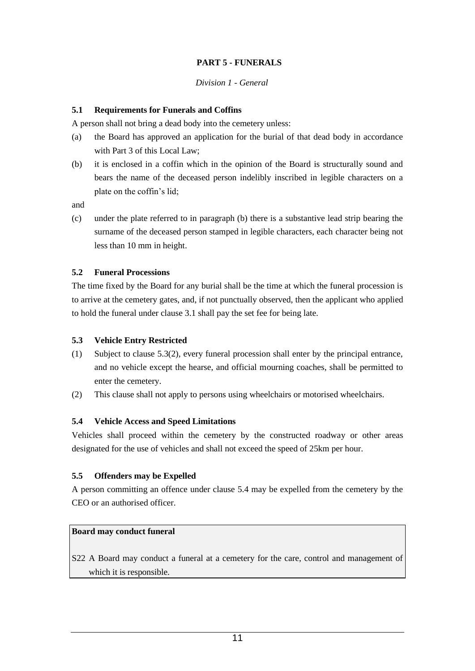# **PART 5 - FUNERALS**

#### *Division 1 - General*

#### **5.1 Requirements for Funerals and Coffins**

A person shall not bring a dead body into the cemetery unless:

- (a) the Board has approved an application for the burial of that dead body in accordance with Part 3 of this Local Law;
- (b) it is enclosed in a coffin which in the opinion of the Board is structurally sound and bears the name of the deceased person indelibly inscribed in legible characters on a plate on the coffin's lid;

and

(c) under the plate referred to in paragraph (b) there is a substantive lead strip bearing the surname of the deceased person stamped in legible characters, each character being not less than 10 mm in height.

#### **5.2 Funeral Processions**

The time fixed by the Board for any burial shall be the time at which the funeral procession is to arrive at the cemetery gates, and, if not punctually observed, then the applicant who applied to hold the funeral under clause 3.1 shall pay the set fee for being late.

#### **5.3 Vehicle Entry Restricted**

- (1) Subject to clause 5.3(2), every funeral procession shall enter by the principal entrance, and no vehicle except the hearse, and official mourning coaches, shall be permitted to enter the cemetery.
- (2) This clause shall not apply to persons using wheelchairs or motorised wheelchairs.

#### **5.4 Vehicle Access and Speed Limitations**

Vehicles shall proceed within the cemetery by the constructed roadway or other areas designated for the use of vehicles and shall not exceed the speed of 25km per hour.

#### **5.5 Offenders may be Expelled**

A person committing an offence under clause 5.4 may be expelled from the cemetery by the CEO or an authorised officer.

#### **Board may conduct funeral**

S22 A Board may conduct a funeral at a cemetery for the care, control and management of which it is responsible.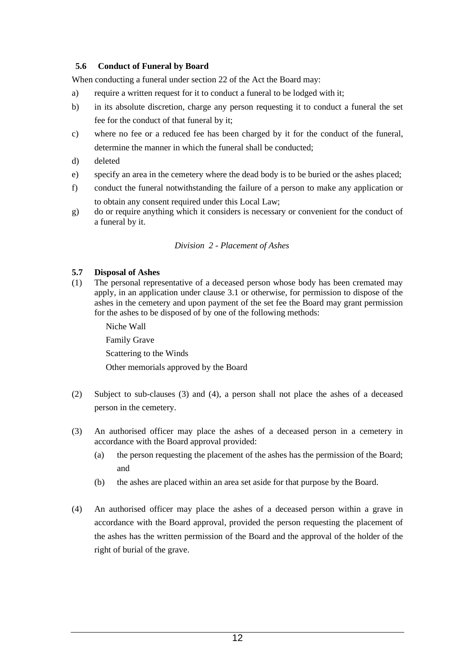#### **5.6 Conduct of Funeral by Board**

When conducting a funeral under section 22 of the Act the Board may:

- a) require a written request for it to conduct a funeral to be lodged with it;
- b) in its absolute discretion, charge any person requesting it to conduct a funeral the set fee for the conduct of that funeral by it;
- c) where no fee or a reduced fee has been charged by it for the conduct of the funeral, determine the manner in which the funeral shall be conducted;
- d) deleted
- e) specify an area in the cemetery where the dead body is to be buried or the ashes placed;
- f) conduct the funeral notwithstanding the failure of a person to make any application or to obtain any consent required under this Local Law;
- g) do or require anything which it considers is necessary or convenient for the conduct of a funeral by it.

#### *Division 2 - Placement of Ashes*

#### **5.7 Disposal of Ashes**

(1) The personal representative of a deceased person whose body has been cremated may apply, in an application under clause 3.1 or otherwise, for permission to dispose of the ashes in the cemetery and upon payment of the set fee the Board may grant permission for the ashes to be disposed of by one of the following methods:

> Niche Wall Family Grave

Scattering to the Winds

Other memorials approved by the Board

- (2) Subject to sub-clauses (3) and (4), a person shall not place the ashes of a deceased person in the cemetery.
- (3) An authorised officer may place the ashes of a deceased person in a cemetery in accordance with the Board approval provided:
	- (a) the person requesting the placement of the ashes has the permission of the Board; and
	- (b) the ashes are placed within an area set aside for that purpose by the Board.
- (4) An authorised officer may place the ashes of a deceased person within a grave in accordance with the Board approval, provided the person requesting the placement of the ashes has the written permission of the Board and the approval of the holder of the right of burial of the grave.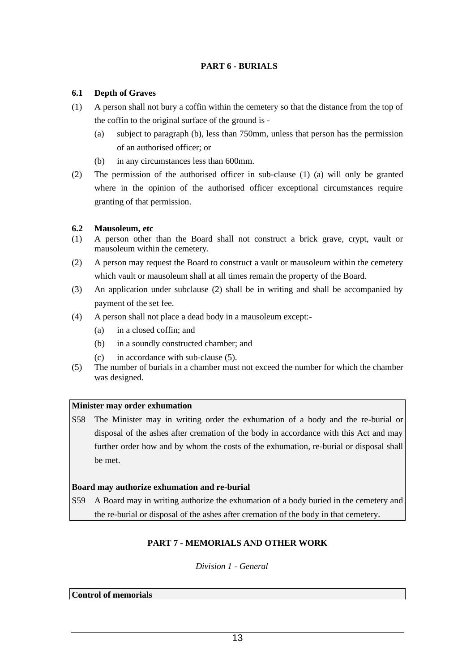#### **PART 6 - BURIALS**

#### **6.1 Depth of Graves**

- (1) A person shall not bury a coffin within the cemetery so that the distance from the top of the coffin to the original surface of the ground is -
	- (a) subject to paragraph (b), less than 750mm, unless that person has the permission of an authorised officer; or
	- (b) in any circumstances less than 600mm.
- (2) The permission of the authorised officer in sub-clause (1) (a) will only be granted where in the opinion of the authorised officer exceptional circumstances require granting of that permission.

#### **6.2 Mausoleum, etc**

- (1) A person other than the Board shall not construct a brick grave, crypt, vault or mausoleum within the cemetery.
- (2) A person may request the Board to construct a vault or mausoleum within the cemetery which vault or mausoleum shall at all times remain the property of the Board.
- (3) An application under subclause (2) shall be in writing and shall be accompanied by payment of the set fee.
- (4) A person shall not place a dead body in a mausoleum except:-
	- (a) in a closed coffin; and
	- (b) in a soundly constructed chamber; and
	- (c) in accordance with sub-clause (5).
- (5) The number of burials in a chamber must not exceed the number for which the chamber was designed.

#### **Minister may order exhumation**

S58 The Minister may in writing order the exhumation of a body and the re-burial or disposal of the ashes after cremation of the body in accordance with this Act and may further order how and by whom the costs of the exhumation, re-burial or disposal shall be met.

#### **Board may authorize exhumation and re-burial**

S59 A Board may in writing authorize the exhumation of a body buried in the cemetery and the re-burial or disposal of the ashes after cremation of the body in that cemetery.

# **PART 7 - MEMORIALS AND OTHER WORK**

#### *Division 1 - General*

#### **Control of memorials**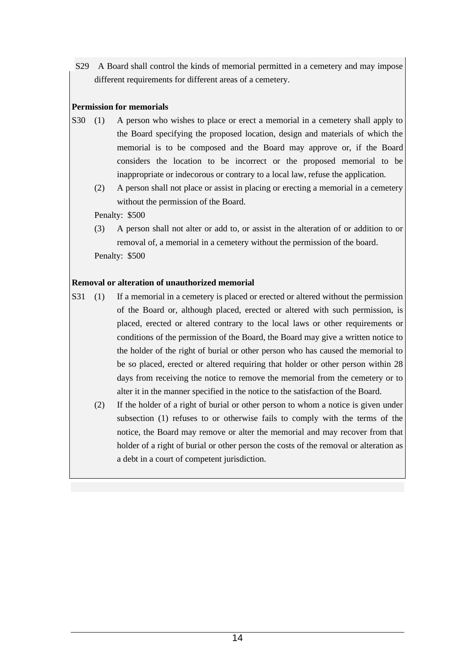S29 A Board shall control the kinds of memorial permitted in a cemetery and may impose different requirements for different areas of a cemetery.

## **Permission for memorials**

- S30 (1) A person who wishes to place or erect a memorial in a cemetery shall apply to the Board specifying the proposed location, design and materials of which the memorial is to be composed and the Board may approve or, if the Board considers the location to be incorrect or the proposed memorial to be inappropriate or indecorous or contrary to a local law, refuse the application.
	- (2) A person shall not place or assist in placing or erecting a memorial in a cemetery without the permission of the Board.

Penalty: \$500

(3) A person shall not alter or add to, or assist in the alteration of or addition to or removal of, a memorial in a cemetery without the permission of the board. Penalty: \$500

# **Removal or alteration of unauthorized memorial**

- S31 (1) If a memorial in a cemetery is placed or erected or altered without the permission of the Board or, although placed, erected or altered with such permission, is placed, erected or altered contrary to the local laws or other requirements or conditions of the permission of the Board, the Board may give a written notice to the holder of the right of burial or other person who has caused the memorial to be so placed, erected or altered requiring that holder or other person within 28 days from receiving the notice to remove the memorial from the cemetery or to alter it in the manner specified in the notice to the satisfaction of the Board.
	- (2) If the holder of a right of burial or other person to whom a notice is given under subsection (1) refuses to or otherwise fails to comply with the terms of the notice, the Board may remove or alter the memorial and may recover from that holder of a right of burial or other person the costs of the removal or alteration as a debt in a court of competent jurisdiction.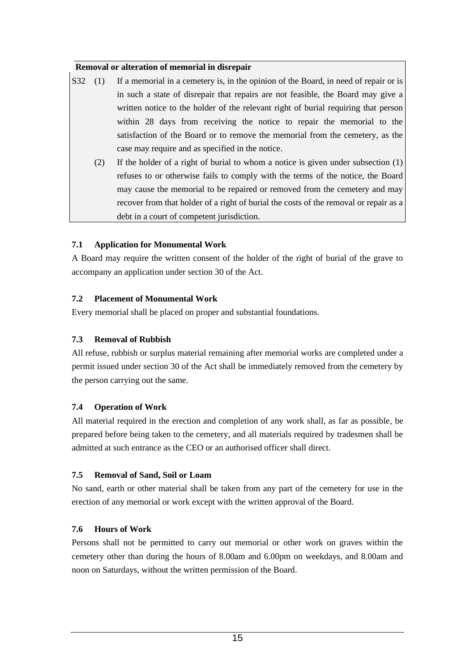#### **Removal or alteration of memorial in disrepair**

- S32 (1) If a memorial in a cemetery is, in the opinion of the Board, in need of repair or is in such a state of disrepair that repairs are not feasible, the Board may give a written notice to the holder of the relevant right of burial requiring that person within 28 days from receiving the notice to repair the memorial to the satisfaction of the Board or to remove the memorial from the cemetery, as the case may require and as specified in the notice.
	- (2) If the holder of a right of burial to whom a notice is given under subsection (1) refuses to or otherwise fails to comply with the terms of the notice, the Board may cause the memorial to be repaired or removed from the cemetery and may recover from that holder of a right of burial the costs of the removal or repair as a debt in a court of competent jurisdiction.

#### **7.1 Application for Monumental Work**

A Board may require the written consent of the holder of the right of burial of the grave to accompany an application under section 30 of the Act.

#### **7.2 Placement of Monumental Work**

Every memorial shall be placed on proper and substantial foundations.

# **7.3 Removal of Rubbish**

All refuse, rubbish or surplus material remaining after memorial works are completed under a permit issued under section 30 of the Act shall be immediately removed from the cemetery by the person carrying out the same.

#### **7.4 Operation of Work**

All material required in the erection and completion of any work shall, as far as possible, be prepared before being taken to the cemetery, and all materials required by tradesmen shall be admitted at such entrance as the CEO or an authorised officer shall direct.

#### **7.5 Removal of Sand, Soil or Loam**

No sand, earth or other material shall be taken from any part of the cemetery for use in the erection of any memorial or work except with the written approval of the Board.

# **7.6 Hours of Work**

Persons shall not be permitted to carry out memorial or other work on graves within the cemetery other than during the hours of 8.00am and 6.00pm on weekdays, and 8.00am and noon on Saturdays, without the written permission of the Board.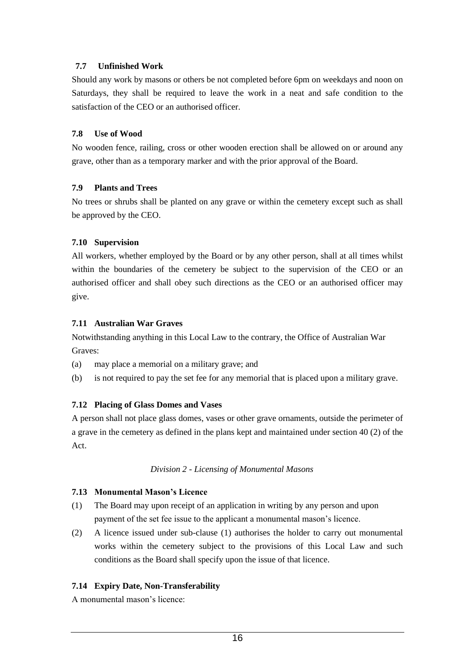#### **7.7 Unfinished Work**

Should any work by masons or others be not completed before 6pm on weekdays and noon on Saturdays, they shall be required to leave the work in a neat and safe condition to the satisfaction of the CEO or an authorised officer.

#### **7.8 Use of Wood**

No wooden fence, railing, cross or other wooden erection shall be allowed on or around any grave, other than as a temporary marker and with the prior approval of the Board.

#### **7.9 Plants and Trees**

No trees or shrubs shall be planted on any grave or within the cemetery except such as shall be approved by the CEO.

#### **7.10 Supervision**

All workers, whether employed by the Board or by any other person, shall at all times whilst within the boundaries of the cemetery be subject to the supervision of the CEO or an authorised officer and shall obey such directions as the CEO or an authorised officer may give.

#### **7.11 Australian War Graves**

Notwithstanding anything in this Local Law to the contrary, the Office of Australian War Graves:

- (a) may place a memorial on a military grave; and
- (b) is not required to pay the set fee for any memorial that is placed upon a military grave.

#### **7.12 Placing of Glass Domes and Vases**

A person shall not place glass domes, vases or other grave ornaments, outside the perimeter of a grave in the cemetery as defined in the plans kept and maintained under section 40 (2) of the Act.

#### *Division 2 - Licensing of Monumental Masons*

#### **7.13 Monumental Mason's Licence**

- (1) The Board may upon receipt of an application in writing by any person and upon payment of the set fee issue to the applicant a monumental mason's licence.
- (2) A licence issued under sub-clause (1) authorises the holder to carry out monumental works within the cemetery subject to the provisions of this Local Law and such conditions as the Board shall specify upon the issue of that licence.

#### **7.14 Expiry Date, Non-Transferability**

A monumental mason's licence: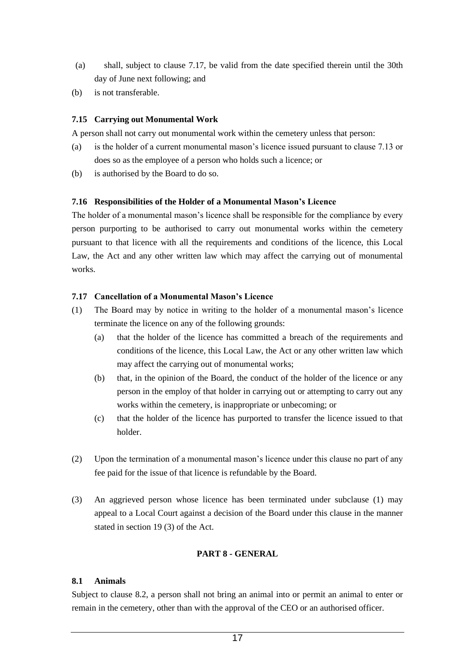- (a) shall, subject to clause 7.17, be valid from the date specified therein until the 30th day of June next following; and
- (b) is not transferable.

#### **7.15 Carrying out Monumental Work**

A person shall not carry out monumental work within the cemetery unless that person:

- (a) is the holder of a current monumental mason's licence issued pursuant to clause 7.13 or does so as the employee of a person who holds such a licence; or
- (b) is authorised by the Board to do so.

#### **7.16 Responsibilities of the Holder of a Monumental Mason's Licence**

The holder of a monumental mason's licence shall be responsible for the compliance by every person purporting to be authorised to carry out monumental works within the cemetery pursuant to that licence with all the requirements and conditions of the licence, this Local Law, the Act and any other written law which may affect the carrying out of monumental works.

#### **7.17 Cancellation of a Monumental Mason's Licence**

- (1) The Board may by notice in writing to the holder of a monumental mason's licence terminate the licence on any of the following grounds:
	- (a) that the holder of the licence has committed a breach of the requirements and conditions of the licence, this Local Law, the Act or any other written law which may affect the carrying out of monumental works;
	- (b) that, in the opinion of the Board, the conduct of the holder of the licence or any person in the employ of that holder in carrying out or attempting to carry out any works within the cemetery, is inappropriate or unbecoming; or
	- (c) that the holder of the licence has purported to transfer the licence issued to that holder.
- (2) Upon the termination of a monumental mason's licence under this clause no part of any fee paid for the issue of that licence is refundable by the Board.
- (3) An aggrieved person whose licence has been terminated under subclause (1) may appeal to a Local Court against a decision of the Board under this clause in the manner stated in section 19 (3) of the Act.

#### **PART 8 - GENERAL**

#### **8.1 Animals**

Subject to clause 8.2, a person shall not bring an animal into or permit an animal to enter or remain in the cemetery, other than with the approval of the CEO or an authorised officer.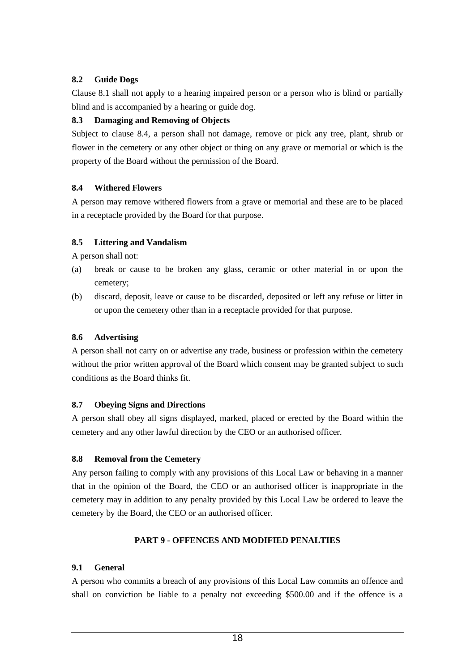#### **8.2 Guide Dogs**

Clause 8.1 shall not apply to a hearing impaired person or a person who is blind or partially blind and is accompanied by a hearing or guide dog.

#### **8.3 Damaging and Removing of Objects**

Subject to clause 8.4, a person shall not damage, remove or pick any tree, plant, shrub or flower in the cemetery or any other object or thing on any grave or memorial or which is the property of the Board without the permission of the Board.

#### **8.4 Withered Flowers**

A person may remove withered flowers from a grave or memorial and these are to be placed in a receptacle provided by the Board for that purpose.

#### **8.5 Littering and Vandalism**

A person shall not:

- (a) break or cause to be broken any glass, ceramic or other material in or upon the cemetery;
- (b) discard, deposit, leave or cause to be discarded, deposited or left any refuse or litter in or upon the cemetery other than in a receptacle provided for that purpose.

#### **8.6 Advertising**

A person shall not carry on or advertise any trade, business or profession within the cemetery without the prior written approval of the Board which consent may be granted subject to such conditions as the Board thinks fit.

#### **8.7 Obeying Signs and Directions**

A person shall obey all signs displayed, marked, placed or erected by the Board within the cemetery and any other lawful direction by the CEO or an authorised officer.

#### **8.8 Removal from the Cemetery**

Any person failing to comply with any provisions of this Local Law or behaving in a manner that in the opinion of the Board, the CEO or an authorised officer is inappropriate in the cemetery may in addition to any penalty provided by this Local Law be ordered to leave the cemetery by the Board, the CEO or an authorised officer.

#### **PART 9 - OFFENCES AND MODIFIED PENALTIES**

#### **9.1 General**

A person who commits a breach of any provisions of this Local Law commits an offence and shall on conviction be liable to a penalty not exceeding \$500.00 and if the offence is a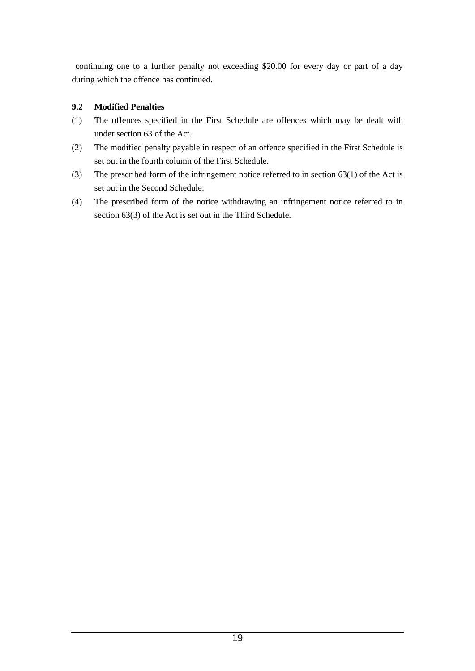continuing one to a further penalty not exceeding \$20.00 for every day or part of a day during which the offence has continued.

# **9.2 Modified Penalties**

- (1) The offences specified in the First Schedule are offences which may be dealt with under section 63 of the Act.
- (2) The modified penalty payable in respect of an offence specified in the First Schedule is set out in the fourth column of the First Schedule.
- (3) The prescribed form of the infringement notice referred to in section 63(1) of the Act is set out in the Second Schedule.
- (4) The prescribed form of the notice withdrawing an infringement notice referred to in section 63(3) of the Act is set out in the Third Schedule.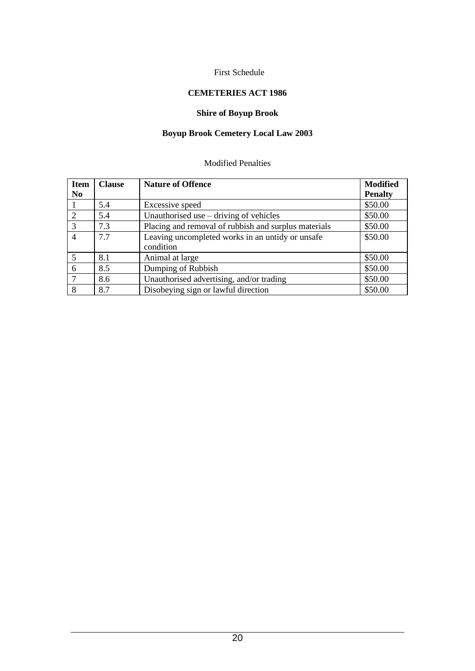#### First Schedule

# **CEMETERIES ACT 1986**

# **Shire of Boyup Brook**

# **Boyup Brook Cemetery Local Law 2003**

#### Modified Penalties

| <b>Item</b>    | <b>Clause</b> | <b>Nature of Offence</b>                             | <b>Modified</b> |
|----------------|---------------|------------------------------------------------------|-----------------|
| N <sub>0</sub> |               |                                                      | <b>Penalty</b>  |
|                | 5.4           | Excessive speed                                      | \$50.00         |
| 2              | 5.4           | Unauthorised use $-$ driving of vehicles             | \$50.00         |
| 3              | 7.3           | Placing and removal of rubbish and surplus materials | \$50.00         |
| $\overline{4}$ | 7.7           | Leaving uncompleted works in an untidy or unsafe     | \$50.00         |
|                |               | condition                                            |                 |
| 5              | 8.1           | Animal at large                                      | \$50.00         |
| 6              | 8.5           | Dumping of Rubbish                                   | \$50.00         |
| 7              | 8.6           | Unauthorised advertising, and/or trading             | \$50.00         |
| 8              | 8.7           | Disobeying sign or lawful direction                  | \$50.00         |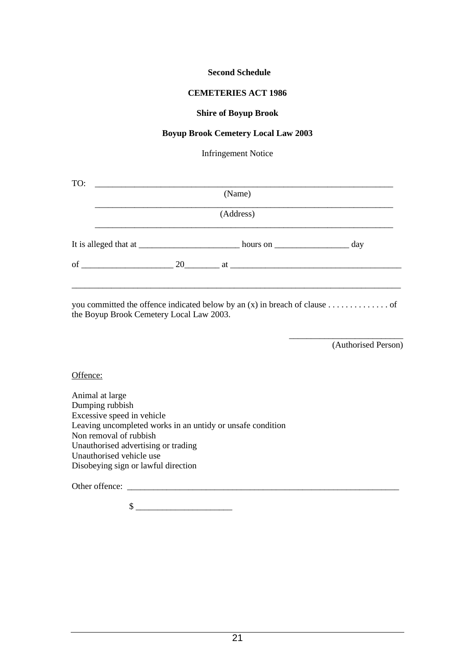#### **Second Schedule**

#### **CEMETERIES ACT 1986**

#### **Shire of Boyup Brook**

#### **Boyup Brook Cemetery Local Law 2003**

Infringement Notice

| TO: | <u> 1980 - Andrea Andrew Maria (h. 1980).</u><br>(Name) |                                      |  |  |  |  |  |  |
|-----|---------------------------------------------------------|--------------------------------------|--|--|--|--|--|--|
|     | (Address)                                               |                                      |  |  |  |  |  |  |
|     |                                                         | hours on $\_\_\_\_\_\_\_\_\_\_\_\_\$ |  |  |  |  |  |  |
|     |                                                         |                                      |  |  |  |  |  |  |
|     |                                                         |                                      |  |  |  |  |  |  |

you committed the offence indicated below by an (x) in breach of clause . . . . . . . . . . . . . . of the Boyup Brook Cemetery Local Law 2003.

(Authorised Person)

\_\_\_\_\_\_\_\_\_\_\_\_\_\_\_\_\_\_\_\_\_\_\_\_\_\_

Offence:

Animal at large Dumping rubbish Excessive speed in vehicle Leaving uncompleted works in an untidy or unsafe condition Non removal of rubbish Unauthorised advertising or trading Unauthorised vehicle use Disobeying sign or lawful direction

Other offence:

 $\frac{1}{2}$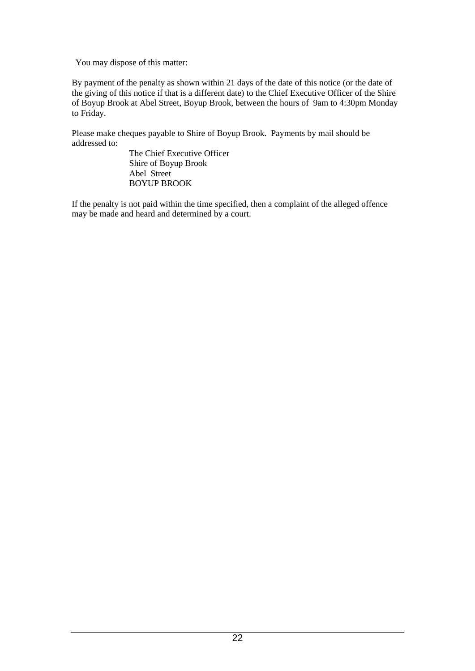You may dispose of this matter:

By payment of the penalty as shown within 21 days of the date of this notice (or the date of the giving of this notice if that is a different date) to the Chief Executive Officer of the Shire of Boyup Brook at Abel Street, Boyup Brook, between the hours of 9am to 4:30pm Monday to Friday.

Please make cheques payable to Shire of Boyup Brook. Payments by mail should be addressed to:

The Chief Executive Officer Shire of Boyup Brook Abel Street BOYUP BROOK

If the penalty is not paid within the time specified, then a complaint of the alleged offence may be made and heard and determined by a court.